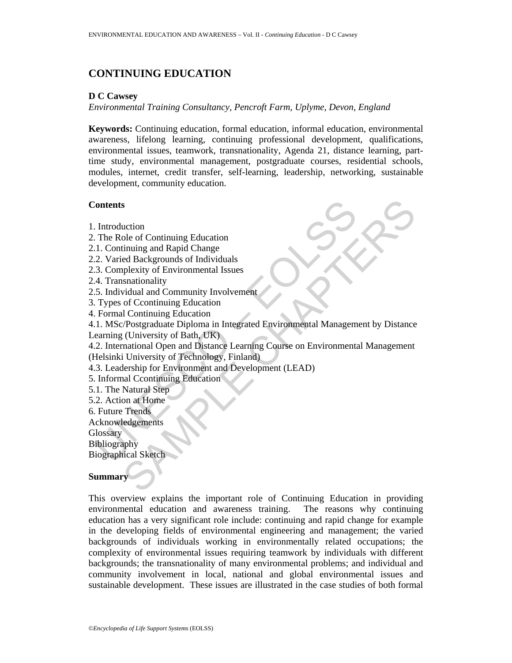# **CONTINUING EDUCATION**

#### **D C Cawsey**

*Environmental Training Consultancy, Pencroft Farm, Uplyme, Devon, England* 

**Keywords:** Continuing education, formal education, informal education, environmental awareness, lifelong learning, continuing professional development, qualifications, environmental issues, teamwork, transnationality, Agenda 21, distance learning, parttime study, environmental management, postgraduate courses, residential schools, modules, internet, credit transfer, self-learning, leadership, networking, sustainable development, community education.

#### **Contents**

- 1. Introduction
- 2. The Role of Continuing Education
- 2.1. Continuing and Rapid Change
- 2.2. Varied Backgrounds of Individuals
- 2.3. Complexity of Environmental Issues
- 2.4. Transnationality
- 2.5. Individual and Community Involvement
- 3. Types of Ccontinuing Education
- 4. Formal Continuing Education

Contents<br>
1. Introduction<br>
1. Continuing and Rapid Change<br>
2. Varied Backgrounds of Individuals<br>
2. Varied Backgrounds of Individuals<br>
3. Complexity of Environmental Issues<br>
5. Individual and Community Involvement<br>
1. MSC/ s<br>
action<br>
ole of Continuing Education<br>
iniumg and Rapid Change<br>
ed Backgrounds of Individuals<br>
ole Continuing Education<br>
of Ccontinuing Education<br>
(Christersty of Bath, UK)<br>
(Christersty of Bath, UK)<br>
(Christersty of Bath 4.1. MSc/Postgraduate Diploma in Integrated Environmental Management by Distance Learning (University of Bath, UK)

4.2. International Open and Distance Learning Course on Environmental Management (Helsinki University of Technology, Finland)

- 4.3. Leadership for Environment and Development (LEAD)
- 5. Informal Ccontinuing Education
- 5.1. The Natural Step
- 5.2. Action at Home
- 6. Future Trends
- Acknowledgements

**Glossary** 

Bibliography

Biographical Sketch

#### **Summary**

This overview explains the important role of Continuing Education in providing environmental education and awareness training. The reasons why continuing education has a very significant role include: continuing and rapid change for example in the developing fields of environmental engineering and management; the varied backgrounds of individuals working in environmentally related occupations; the complexity of environmental issues requiring teamwork by individuals with different backgrounds; the transnationality of many environmental problems; and individual and community involvement in local, national and global environmental issues and sustainable development. These issues are illustrated in the case studies of both formal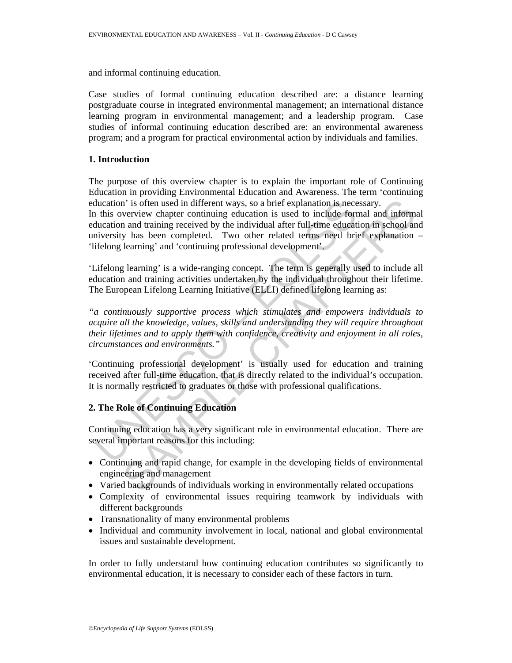and informal continuing education.

Case studies of formal continuing education described are: a distance learning postgraduate course in integrated environmental management; an international distance learning program in environmental management; and a leadership program. Case studies of informal continuing education described are: an environmental awareness program; and a program for practical environmental action by individuals and families.

#### **1. Introduction**

ducation' is often used in different ways, so a brief explanation is nece<br>this overview chapter continuing education is used to include fort<br>ducation and training received by the individual after full-time education<br>invers n' is often used in different ways, so a brief explanation is necessary.<br>
verview chapter continuing education is used to include formal and informa<br>
and training received by the individual after full-time education in sch The purpose of this overview chapter is to explain the important role of Continuing Education in providing Environmental Education and Awareness. The term 'continuing education' is often used in different ways, so a brief explanation is necessary. In this overview chapter continuing education is used to include formal and informal education and training received by the individual after full-time education in school and university has been completed. Two other related terms need brief explanation – 'lifelong learning' and 'continuing professional development'.

'Lifelong learning' is a wide-ranging concept. The term is generally used to include all education and training activities undertaken by the individual throughout their lifetime. The European Lifelong Learning Initiative (ELLI) defined lifelong learning as:

*"a continuously supportive process which stimulates and empowers individuals to acquire all the knowledge, values, skills and understanding they will require throughout their lifetimes and to apply them with confidence, creativity and enjoyment in all roles, circumstances and environments."* 

'Continuing professional development' is usually used for education and training received after full-time education, that is directly related to the individual's occupation. It is normally restricted to graduates or those with professional qualifications.

## **2. The Role of Continuing Education**

Continuing education has a very significant role in environmental education. There are several important reasons for this including:

- Continuing and rapid change, for example in the developing fields of environmental engineering and management
- Varied backgrounds of individuals working in environmentally related occupations
- Complexity of environmental issues requiring teamwork by individuals with different backgrounds
- Transnationality of many environmental problems
- Individual and community involvement in local, national and global environmental issues and sustainable development.

In order to fully understand how continuing education contributes so significantly to environmental education, it is necessary to consider each of these factors in turn.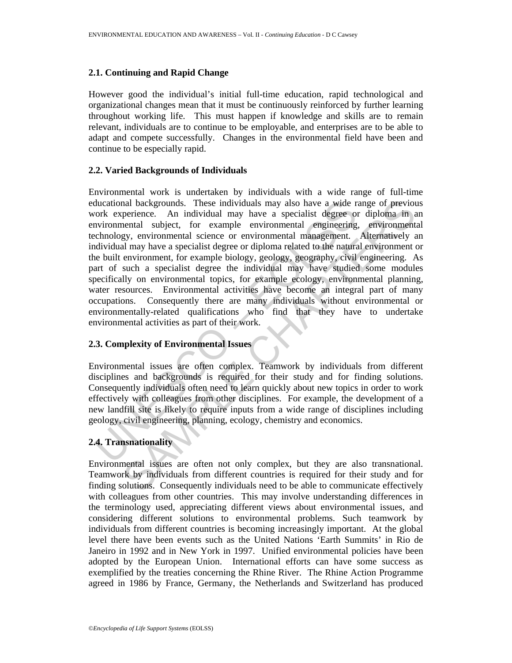#### **2.1. Continuing and Rapid Change**

However good the individual's initial full-time education, rapid technological and organizational changes mean that it must be continuously reinforced by further learning throughout working life. This must happen if knowledge and skills are to remain relevant, individuals are to continue to be employable, and enterprises are to be able to adapt and compete successfully. Changes in the environmental field have been and continue to be especially rapid.

#### **2.2. Varied Backgrounds of Individuals**

ducational backgrounds. These individuals may also have a wide r<br>orok experience. An individual may have a specialist degree on<br>oriommental subject, for example environmental emainering<br>including may have a specialist degr and backgrounds. Those individuals may also have a wide range of previous<br>perience. An individual may have a specialist degree or diploma in a<br>perious critical subject, for example environmental engineering, environment<br>gy Environmental work is undertaken by individuals with a wide range of full-time educational backgrounds. These individuals may also have a wide range of previous work experience. An individual may have a specialist degree or diploma in an environmental subject, for example environmental engineering, environmental technology, environmental science or environmental management. Alternatively an individual may have a specialist degree or diploma related to the natural environment or the built environment, for example biology, geology, geography, civil engineering. As part of such a specialist degree the individual may have studied some modules specifically on environmental topics, for example ecology, environmental planning, water resources. Environmental activities have become an integral part of many occupations. Consequently there are many individuals without environmental or environmentally-related qualifications who find that they have to undertake environmental activities as part of their work.

#### **2.3. Complexity of Environmental Issues**

Environmental issues are often complex. Teamwork by individuals from different disciplines and backgrounds is required for their study and for finding solutions. Consequently individuals often need to learn quickly about new topics in order to work effectively with colleagues from other disciplines. For example, the development of a new landfill site is likely to require inputs from a wide range of disciplines including geology, civil engineering, planning, ecology, chemistry and economics.

## **2.4. Transnationality**

Environmental issues are often not only complex, but they are also transnational. Teamwork by individuals from different countries is required for their study and for finding solutions. Consequently individuals need to be able to communicate effectively with colleagues from other countries. This may involve understanding differences in the terminology used, appreciating different views about environmental issues, and considering different solutions to environmental problems. Such teamwork by individuals from different countries is becoming increasingly important. At the global level there have been events such as the United Nations 'Earth Summits' in Rio de Janeiro in 1992 and in New York in 1997. Unified environmental policies have been adopted by the European Union. International efforts can have some success as exemplified by the treaties concerning the Rhine River. The Rhine Action Programme agreed in 1986 by France, Germany, the Netherlands and Switzerland has produced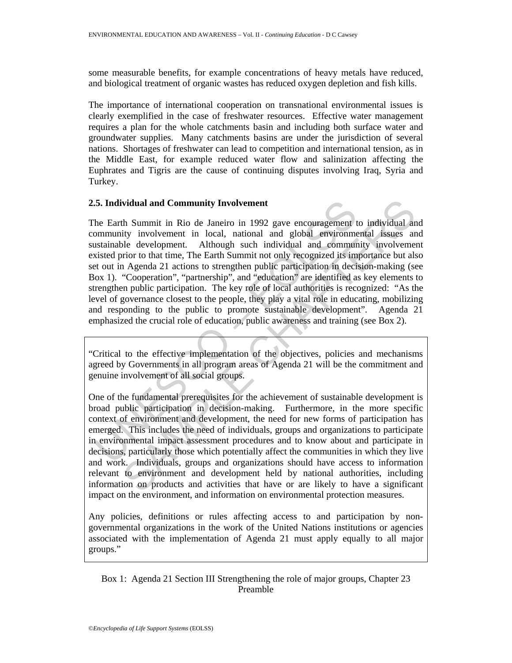some measurable benefits, for example concentrations of heavy metals have reduced, and biological treatment of organic wastes has reduced oxygen depletion and fish kills.

The importance of international cooperation on transnational environmental issues is clearly exemplified in the case of freshwater resources. Effective water management requires a plan for the whole catchments basin and including both surface water and groundwater supplies. Many catchments basins are under the jurisdiction of several nations. Shortages of freshwater can lead to competition and international tension, as in the Middle East, for example reduced water flow and salinization affecting the Euphrates and Tigris are the cause of continuing disputes involving Iraq, Syria and Turkey.

### **2.5. Individual and Community Involvement**

5. Individual and Community Involvement<br>the Earth Summit in Rio de Janeiro in 1992 gave encouragement the Earth Summitity involvement in local, national and global environment<br>stainable development. Although such individua vidual and Community Involvement<br>
th Summit in Rio de Janeiro in 1992 gave encouragement to individual an<br>
ity involvement in local, national and global environmental issues an<br>
electevelopment. Although such individual an The Earth Summit in Rio de Janeiro in 1992 gave encouragement to individual and community involvement in local, national and global environmental issues and sustainable development. Although such individual and community involvement existed prior to that time, The Earth Summit not only recognized its importance but also set out in Agenda 21 actions to strengthen public participation in decision-making (see Box 1). "Cooperation", "partnership", and "education" are identified as key elements to strengthen public participation. The key role of local authorities is recognized: "As the level of governance closest to the people, they play a vital role in educating, mobilizing and responding to the public to promote sustainable development". Agenda 21 emphasized the crucial role of education, public awareness and training (see Box 2).

"Critical to the effective implementation of the objectives, policies and mechanisms agreed by Governments in all program areas of Agenda 21 will be the commitment and genuine involvement of all social groups.

One of the fundamental prerequisites for the achievement of sustainable development is broad public participation in decision-making. Furthermore, in the more specific context of environment and development, the need for new forms of participation has emerged. This includes the need of individuals, groups and organizations to participate in environmental impact assessment procedures and to know about and participate in decisions, particularly those which potentially affect the communities in which they live and work. Individuals, groups and organizations should have access to information relevant to environment and development held by national authorities, including information on products and activities that have or are likely to have a significant impact on the environment, and information on environmental protection measures.

Any policies, definitions or rules affecting access to and participation by nongovernmental organizations in the work of the United Nations institutions or agencies associated with the implementation of Agenda 21 must apply equally to all major groups."

Box 1: Agenda 21 Section III Strengthening the role of major groups, Chapter 23 Preamble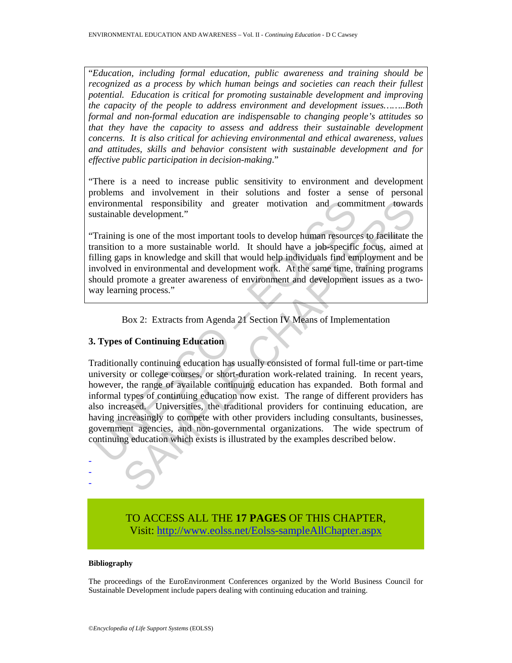"*Education, including formal education, public awareness and training should be recognized as a process by which human beings and societies can reach their fullest potential. Education is critical for promoting sustainable development and improving the capacity of the people to address environment and development issues……..Both formal and non-formal education are indispensable to changing people's attitudes so that they have the capacity to assess and address their sustainable development concerns. It is also critical for achieving environmental and ethical awareness, values and attitudes, skills and behavior consistent with sustainable development and for effective public participation in decision-making*."

"There is a need to increase public sensitivity to environment and development problems and involvement in their solutions and foster a sense of personal environmental responsibility and greater motivation and commitment towards sustainable development."

"Training is one of the most important tools to develop human resources to facilitate the transition to a more sustainable world. It should have a job-specific focus, aimed at filling gaps in knowledge and skill that would help individuals find employment and be involved in environmental and development work. At the same time, training programs should promote a greater awareness of environment and development issues as a twoway learning process."

Box 2: Extracts from Agenda 21 Section IV Means of Implementation

#### **3. Types of Continuing Education**

not provided a responsibility and greater motivation and communitations and a restantiable development."<br>
Training is one of the most important tools to develop human resource<br>
ansition to a more sustainable world. It shou netal responsibility and greater motivation and commitment towards<br>de development."<br>In to a more sustainable world. It should have a job-specific focous, ained a<br>us in knowledge and skill that would help individuals find e Traditionally continuing education has usually consisted of formal full-time or part-time university or college courses, or short-duration work-related training. In recent years, however, the range of available continuing education has expanded. Both formal and informal types of continuing education now exist. The range of different providers has also increased. Universities, the traditional providers for continuing education, are having increasingly to compete with other providers including consultants, businesses, government agencies, and non-governmental organizations. The wide spectrum of continuing education which exists is illustrated by the examples described below.

> TO ACCESS ALL THE **17 PAGES** OF THIS CHAPTER, Visi[t: http://www.eolss.net/Eolss-sampleAllChapter.aspx](https://www.eolss.net/ebooklib/sc_cart.aspx?File=E4-16-06)

#### **Bibliography**

- - -

The proceedings of the EuroEnvironment Conferences organized by the World Business Council for Sustainable Development include papers dealing with continuing education and training.